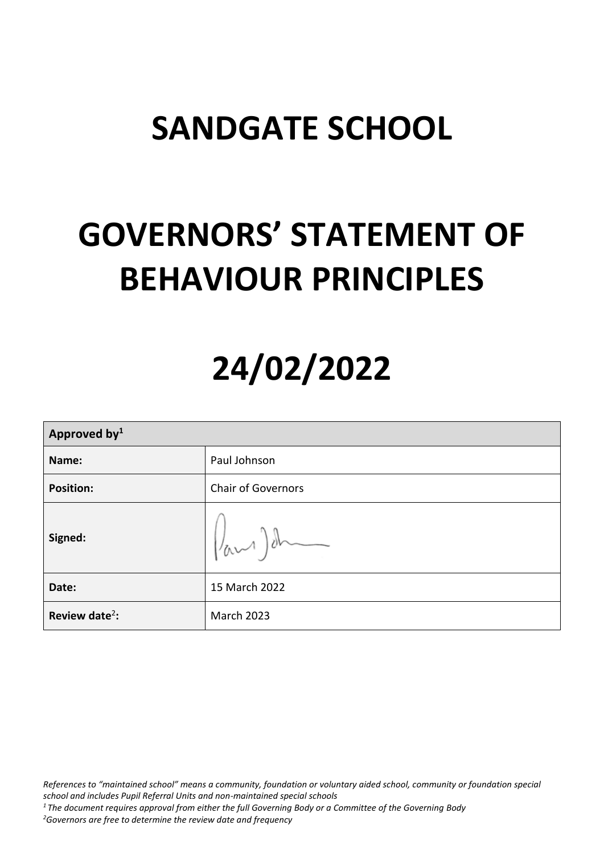## **SANDGATE SCHOOL**

## **GOVERNORS' STATEMENT OF BEHAVIOUR PRINCIPLES**

# **24/02/2022**

| Approved by <sup>1</sup>   |                           |  |
|----------------------------|---------------------------|--|
| Name:                      | Paul Johnson              |  |
| <b>Position:</b>           | <b>Chair of Governors</b> |  |
| Signed:                    | $\sqrt{a^2-1}$            |  |
| Date:                      | 15 March 2022             |  |
| Review date <sup>2</sup> : | <b>March 2023</b>         |  |

*References to "maintained school" means a community, foundation or voluntary aided school, community or foundation special school and includes Pupil Referral Units and non-maintained special schools*

*<sup>1</sup> The document requires approval from either the full Governing Body or a Committee of the Governing Body*

*<sup>2</sup>Governors are free to determine the review date and frequency*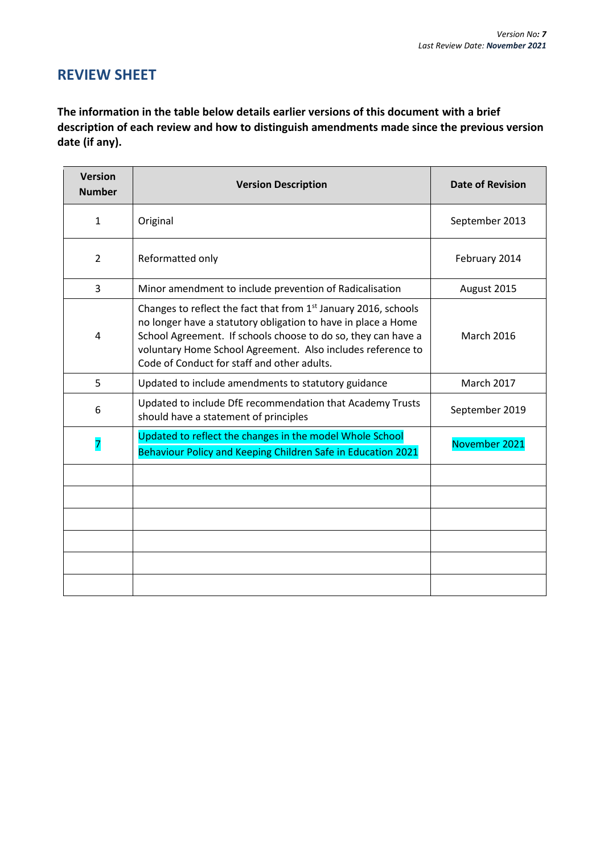## **REVIEW SHEET**

**The information in the table below details earlier versions of this document with a brief description of each review and how to distinguish amendments made since the previous version date (if any).**

| <b>Version</b><br><b>Number</b> | <b>Version Description</b>                                                                                                                                                                                                                                                                                                  | <b>Date of Revision</b> |
|---------------------------------|-----------------------------------------------------------------------------------------------------------------------------------------------------------------------------------------------------------------------------------------------------------------------------------------------------------------------------|-------------------------|
| $\mathbf{1}$                    | Original                                                                                                                                                                                                                                                                                                                    | September 2013          |
| $\overline{2}$                  | Reformatted only                                                                                                                                                                                                                                                                                                            | February 2014           |
| 3                               | Minor amendment to include prevention of Radicalisation                                                                                                                                                                                                                                                                     | August 2015             |
| 4                               | Changes to reflect the fact that from 1 <sup>st</sup> January 2016, schools<br>no longer have a statutory obligation to have in place a Home<br>School Agreement. If schools choose to do so, they can have a<br>voluntary Home School Agreement. Also includes reference to<br>Code of Conduct for staff and other adults. | <b>March 2016</b>       |
| 5                               | Updated to include amendments to statutory guidance                                                                                                                                                                                                                                                                         | <b>March 2017</b>       |
| 6                               | Updated to include DfE recommendation that Academy Trusts<br>should have a statement of principles                                                                                                                                                                                                                          | September 2019          |
| $\overline{7}$                  | Updated to reflect the changes in the model Whole School<br>Behaviour Policy and Keeping Children Safe in Education 2021                                                                                                                                                                                                    | November 2021           |
|                                 |                                                                                                                                                                                                                                                                                                                             |                         |
|                                 |                                                                                                                                                                                                                                                                                                                             |                         |
|                                 |                                                                                                                                                                                                                                                                                                                             |                         |
|                                 |                                                                                                                                                                                                                                                                                                                             |                         |
|                                 |                                                                                                                                                                                                                                                                                                                             |                         |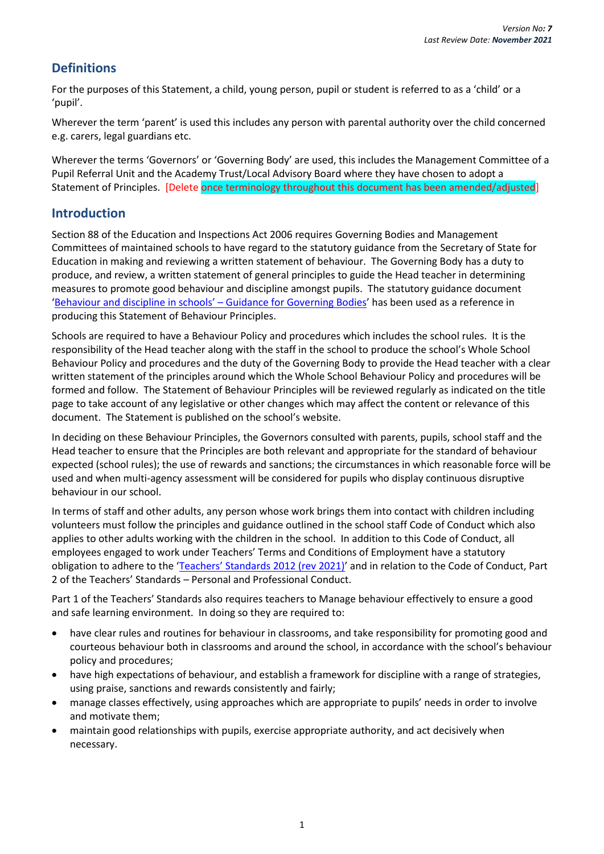## **Definitions**

For the purposes of this Statement, a child, young person, pupil or student is referred to as a 'child' or a 'pupil'.

Wherever the term 'parent' is used this includes any person with parental authority over the child concerned e.g. carers, legal guardians etc.

Wherever the terms 'Governors' or 'Governing Body' are used, this includes the Management Committee of a Pupil Referral Unit and the Academy Trust/Local Advisory Board where they have chosen to adopt a Statement of Principles. [Delete once terminology throughout this document has been amended/adjusted]

### **Introduction**

Section 88 of the Education and Inspections Act 2006 requires Governing Bodies and Management Committees of maintained schools to have regard to the statutory guidance from the Secretary of State for Education in making and reviewing a written statement of behaviour. The Governing Body has a duty to produce, and review, a written statement of general principles to guide the Head teacher in determining measures to promote good behaviour and discipline amongst pupils. The statutory guidance document ['Behaviour and discipline in schools' –](https://www.gov.uk/government/publications/behaviour-and-discipline-in-schools-guidance-for-governing-bodies) Guidance for Governing Bodies' has been used as a reference in producing this Statement of Behaviour Principles.

Schools are required to have a Behaviour Policy and procedures which includes the school rules. It is the responsibility of the Head teacher along with the staff in the school to produce the school's Whole School Behaviour Policy and procedures and the duty of the Governing Body to provide the Head teacher with a clear written statement of the principles around which the Whole School Behaviour Policy and procedures will be formed and follow. The Statement of Behaviour Principles will be reviewed regularly as indicated on the title page to take account of any legislative or other changes which may affect the content or relevance of this document. The Statement is published on the school's website.

In deciding on these Behaviour Principles, the Governors consulted with parents, pupils, school staff and the Head teacher to ensure that the Principles are both relevant and appropriate for the standard of behaviour expected (school rules); the use of rewards and sanctions; the circumstances in which reasonable force will be used and when multi-agency assessment will be considered for pupils who display continuous disruptive behaviour in our school.

In terms of staff and other adults, any person whose work brings them into contact with children including volunteers must follow the principles and guidance outlined in the school staff Code of Conduct which also applies to other adults working with the children in the school. In addition to this Code of Conduct, all employees engaged to work under Teachers' Terms and Conditions of Employment have a statutory obligation to adhere to the 'Teachers' St[andards 2012 \(rev 2021\)](https://assets.publishing.service.gov.uk/government/uploads/system/uploads/attachment_data/file/1007716/Teachers__Standards_2021_update.pdf)' and in relation to the Code of Conduct, Part 2 of the Teachers' Standards – Personal and Professional Conduct.

Part 1 of the Teachers' Standards also requires teachers to Manage behaviour effectively to ensure a good and safe learning environment. In doing so they are required to:

- have clear rules and routines for behaviour in classrooms, and take responsibility for promoting good and courteous behaviour both in classrooms and around the school, in accordance with the school's behaviour policy and procedures;
- have high expectations of behaviour, and establish a framework for discipline with a range of strategies, using praise, sanctions and rewards consistently and fairly;
- manage classes effectively, using approaches which are appropriate to pupils' needs in order to involve and motivate them;
- maintain good relationships with pupils, exercise appropriate authority, and act decisively when necessary.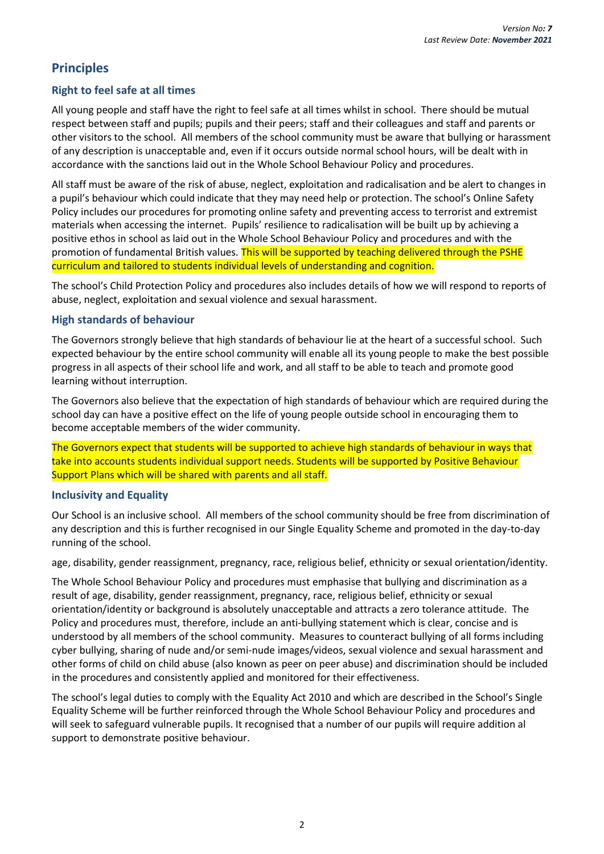### **Principles**

#### **Right to feel safe at all times**

All young people and staff have the right to feel safe at all times whilst in school. There should be mutual respect between staff and pupils; pupils and their peers; staff and their colleagues and staff and parents or other visitors to the school. All members of the school community must be aware that bullying or harassment of any description is unacceptable and, even if it occurs outside normal school hours, will be dealt with in accordance with the sanctions laid out in the Whole School Behaviour Policy and procedures.

All staff must be aware of the risk of abuse, neglect, exploitation and radicalisation and be alert to changes in a pupil's behaviour which could indicate that they may need help or protection. The school's Online Safety Policy includes our procedures for promoting online safety and preventing access to terrorist and extremist materials when accessing the internet. Pupils' resilience to radicalisation will be built up by achieving a positive ethos in school as laid out in the Whole School Behaviour Policy and procedures and with the promotion of fundamental British values. This will be supported by teaching delivered through the PSHE curriculum and tailored to students individual levels of understanding and cognition.

The school's Child Protection Policy and procedures also includes details of how we will respond to reports of abuse, neglect, exploitation and sexual violence and sexual harassment.

#### **High standards of behaviour**

The Governors strongly believe that high standards of behaviour lie at the heart of a successful school. Such expected behaviour by the entire school community will enable all its young people to make the best possible progress in all aspects of their school life and work, and all staff to be able to teach and promote good learning without interruption.

The Governors also believe that the expectation of high standards of behaviour which are required during the school day can have a positive effect on the life of young people outside school in encouraging them to become acceptable members of the wider community.

The Governors expect that students will be supported to achieve high standards of behaviour in ways that take into accounts students individual support needs. Students will be supported by Positive Behaviour Support Plans which will be shared with parents and all staff.

#### **Inclusivity and Equality**

Our School is an inclusive school. All members of the school community should be free from discrimination of any description and this is further recognised in our Single Equality Scheme and promoted in the day-to-day running of the school.

age, disability, gender reassignment, pregnancy, race, religious belief, ethnicity or sexual orientation/identity.

The Whole School Behaviour Policy and procedures must emphasise that bullying and discrimination as a result of age, disability, gender reassignment, pregnancy, race, religious belief, ethnicity or sexual orientation/identity or background is absolutely unacceptable and attracts a zero tolerance attitude. The Policy and procedures must, therefore, include an anti-bullying statement which is clear, concise and is understood by all members of the school community. Measures to counteract bullying of all forms including cyber bullying, sharing of nude and/or semi-nude images/videos, sexual violence and sexual harassment and other forms of child on child abuse (also known as peer on peer abuse) and discrimination should be included in the procedures and consistently applied and monitored for their effectiveness.

The school's legal duties to comply with the Equality Act 2010 and which are described in the School's Single Equality Scheme will be further reinforced through the Whole School Behaviour Policy and procedures and will seek to safeguard vulnerable pupils. It recognised that a number of our pupils will require addition al support to demonstrate positive behaviour.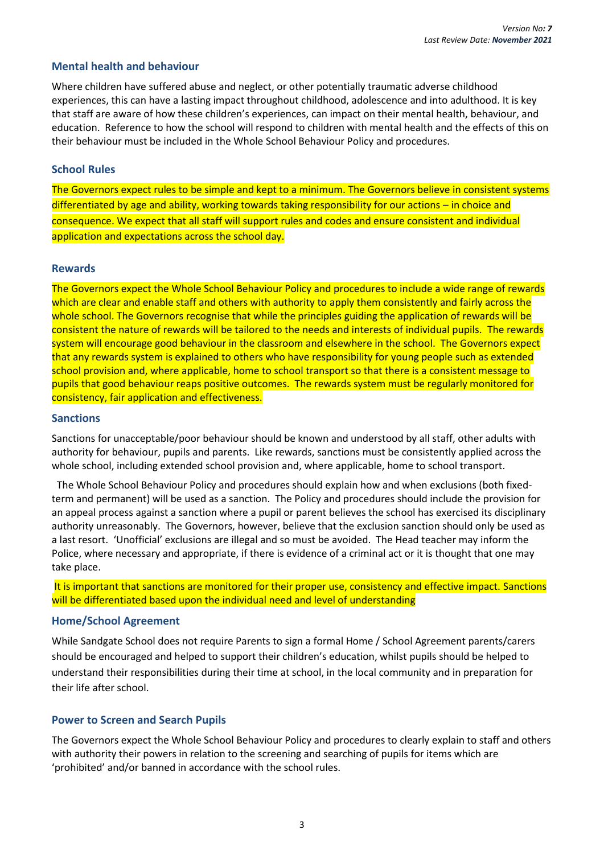#### **Mental health and behaviour**

Where children have suffered abuse and neglect, or other potentially traumatic adverse childhood experiences, this can have a lasting impact throughout childhood, adolescence and into adulthood. It is key that staff are aware of how these children's experiences, can impact on their mental health, behaviour, and education. Reference to how the school will respond to children with mental health and the effects of this on their behaviour must be included in the Whole School Behaviour Policy and procedures.

#### **School Rules**

The Governors expect rules to be simple and kept to a minimum. The Governors believe in consistent systems differentiated by age and ability, working towards taking responsibility for our actions – in choice and consequence. We expect that all staff will support rules and codes and ensure consistent and individual application and expectations across the school day.

#### **Rewards**

The Governors expect the Whole School Behaviour Policy and procedures to include a wide range of rewards which are clear and enable staff and others with authority to apply them consistently and fairly across the whole school. The Governors recognise that while the principles guiding the application of rewards will be consistent the nature of rewards will be tailored to the needs and interests of individual pupils. The rewards system will encourage good behaviour in the classroom and elsewhere in the school. The Governors expect that any rewards system is explained to others who have responsibility for young people such as extended school provision and, where applicable, home to school transport so that there is a consistent message to pupils that good behaviour reaps positive outcomes. The rewards system must be regularly monitored for consistency, fair application and effectiveness.

#### **Sanctions**

Sanctions for unacceptable/poor behaviour should be known and understood by all staff, other adults with authority for behaviour, pupils and parents. Like rewards, sanctions must be consistently applied across the whole school, including extended school provision and, where applicable, home to school transport.

 The Whole School Behaviour Policy and procedures should explain how and when exclusions (both fixedterm and permanent) will be used as a sanction. The Policy and procedures should include the provision for an appeal process against a sanction where a pupil or parent believes the school has exercised its disciplinary authority unreasonably. The Governors, however, believe that the exclusion sanction should only be used as a last resort. 'Unofficial' exclusions are illegal and so must be avoided. The Head teacher may inform the Police, where necessary and appropriate, if there is evidence of a criminal act or it is thought that one may take place.

It is important that sanctions are monitored for their proper use, consistency and effective impact. Sanctions will be differentiated based upon the individual need and level of understanding

#### **Home/School Agreement**

While Sandgate School does not require Parents to sign a formal Home / School Agreement parents/carers should be encouraged and helped to support their children's education, whilst pupils should be helped to understand their responsibilities during their time at school, in the local community and in preparation for their life after school.

#### **Power to Screen and Search Pupils**

The Governors expect the Whole School Behaviour Policy and procedures to clearly explain to staff and others with authority their powers in relation to the screening and searching of pupils for items which are 'prohibited' and/or banned in accordance with the school rules.